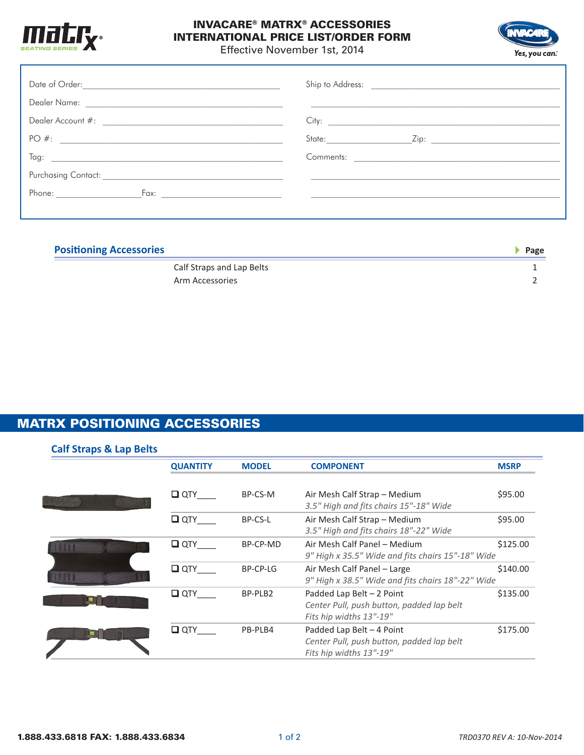

## INVACARE® MATRX® ACCESSORIES INTERNATIONAL PRICE LIST/ORDER FORM



Effective November 1st, 2014

| PO#: | _Zip: _____________________________ |
|------|-------------------------------------|
|      |                                     |
|      |                                     |
|      |                                     |
|      |                                     |

| <b>Positioning Accessories</b> |                           | Page |
|--------------------------------|---------------------------|------|
|                                | Calf Straps and Lap Belts |      |
|                                | Arm Accessories           |      |

## MATRX POSITIONING ACCESSORIES

| <b>Calf Straps &amp; Lap Belts</b> |                 |              |                                                                                                    |             |
|------------------------------------|-----------------|--------------|----------------------------------------------------------------------------------------------------|-------------|
|                                    | <b>QUANTITY</b> | <b>MODEL</b> | <b>COMPONENT</b>                                                                                   | <b>MSRP</b> |
|                                    | $\Box$ QTY      | BP-CS-M      | Air Mesh Calf Strap - Medium<br>3.5" High and fits chairs 15"-18" Wide                             | \$95.00     |
|                                    | $\Box$ QTY      | BP-CS-L      | Air Mesh Calf Strap - Medium<br>3.5" High and fits chairs 18"-22" Wide                             | \$95.00     |
| m                                  | $\Box$ QTY      | BP-CP-MD     | Air Mesh Calf Panel - Medium<br>9" High x 35.5" Wide and fits chairs 15"-18" Wide                  | \$125.00    |
|                                    | $\square$ QTY   | BP-CP-LG     | Air Mesh Calf Panel - Large<br>9" High x 38.5" Wide and fits chairs 18"-22" Wide                   | \$140.00    |
|                                    | $\Box$ QTY      | BP-PLB2      | Padded Lap Belt $-2$ Point<br>Center Pull, push button, padded lap belt<br>Fits hip widths 13"-19" | \$135.00    |
|                                    | $\Box$ QTY      | PB-PLB4      | Padded Lap Belt $-4$ Point<br>Center Pull, push button, padded lap belt<br>Fits hip widths 13"-19" | \$175.00    |